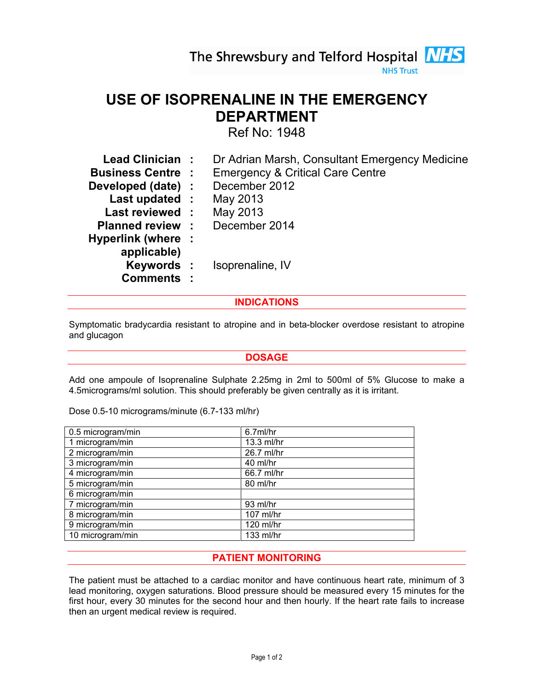#### **NHS Trust**

## USE OF ISOPRENALINE IN THE EMERGENCY DEPARTMENT

Ref No: 1948

| Lead Clinician:          | Dr Adrian Marsh, Consultant Emergency Medicine |
|--------------------------|------------------------------------------------|
| <b>Business Centre :</b> | <b>Emergency &amp; Critical Care Centre</b>    |
| Developed (date) :       | December 2012                                  |
| Last updated :           | May 2013                                       |
| Last reviewed :          | May 2013                                       |
| <b>Planned review :</b>  | December 2014                                  |
| Hyperlink (where :       |                                                |
| applicable)              |                                                |
| Keywords :               | Isoprenaline, IV                               |
| <b>Comments:</b>         |                                                |

#### INDICATIONS

Symptomatic bradycardia resistant to atropine and in beta-blocker overdose resistant to atropine and glucagon

#### DOSAGE

Add one ampoule of Isoprenaline Sulphate 2.25mg in 2ml to 500ml of 5% Glucose to make a 4.5micrograms/ml solution. This should preferably be given centrally as it is irritant.

| 0.5 microgram/min | 6.7ml/hr   |
|-------------------|------------|
| 1 microgram/min   | 13.3 ml/hr |
| 2 microgram/min   | 26.7 ml/hr |
| 3 microgram/min   | 40 ml/hr   |
| 4 microgram/min   | 66.7 ml/hr |
| 5 microgram/min   | 80 ml/hr   |
| 6 microgram/min   |            |
| 7 microgram/min   | 93 ml/hr   |
| 8 microgram/min   | 107 ml/hr  |
| 9 microgram/min   | 120 ml/hr  |
| 10 microgram/min  | 133 ml/hr  |

Dose 0.5-10 micrograms/minute (6.7-133 ml/hr)

#### PATIENT MONITORING

The patient must be attached to a cardiac monitor and have continuous heart rate, minimum of 3 lead monitoring, oxygen saturations. Blood pressure should be measured every 15 minutes for the first hour, every 30 minutes for the second hour and then hourly. If the heart rate fails to increase then an urgent medical review is required.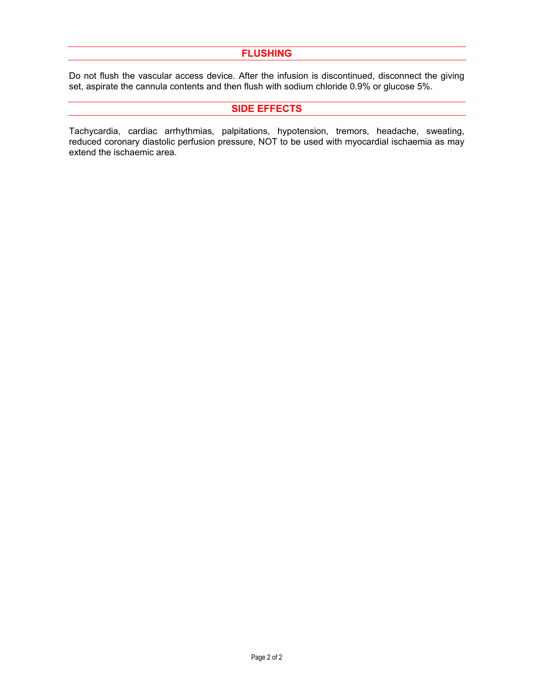#### FLUSHING

Do not flush the vascular access device. After the infusion is discontinued, disconnect the giving set, aspirate the cannula contents and then flush with sodium chloride 0.9% or glucose 5%.

#### SIDE EFFECTS

Tachycardia, cardiac arrhythmias, palpitations, hypotension, tremors, headache, sweating, reduced coronary diastolic perfusion pressure, NOT to be used with myocardial ischaemia as may extend the ischaemic area.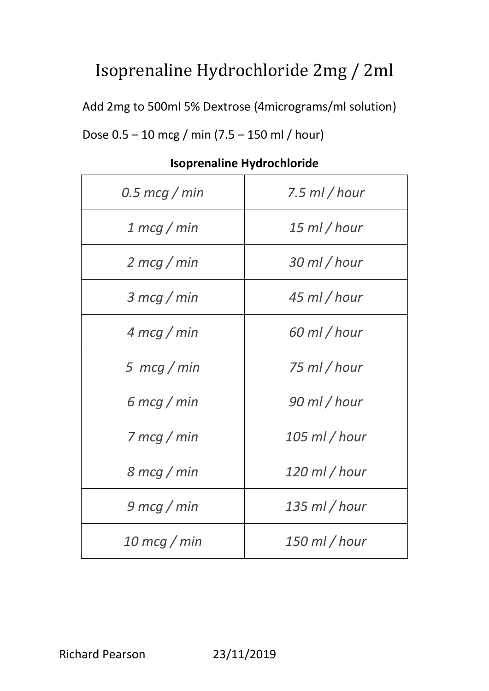## Isoprenaline Hydrochloride 2mg / 2ml

Add 2mg to 500ml 5% Dextrose (4micrograms/ml solution)

Dose 0.5 – 10 mcg / min (7.5 – 150 ml / hour)

| $0.5 \text{~mcg}$ / min       | 7.5 ml / hour   |
|-------------------------------|-----------------|
| 1 mcg / min                   | $15$ ml / hour  |
| $2 \, m c g / m i n$          | 30 ml / hour    |
| $3 \, \text{mcg}$ / min       | 45 ml / hour    |
| $4 \text{ mcq}$ / min         | 60 ml / hour    |
| 5 $mcg/min$                   | 75 ml / hour    |
| 6 mcg / min                   | 90 ml / hour    |
| $7 \,$ mcg / min              | $105$ ml / hour |
| $8 \text{ mcg} / \text{ min}$ | 120 ml / hour   |
| 9 mcg / min                   | $135$ ml / hour |
| $10 \, \text{mcg}$ / min      | $150$ ml / hour |

## **Isoprenaline Hydrochloride**